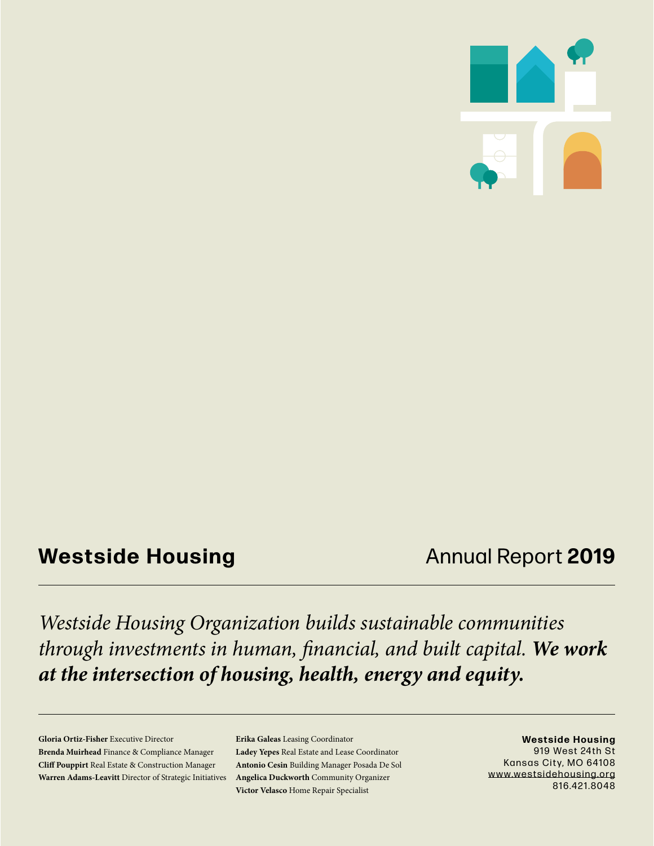

## **Westside Housing Annual Report 2019**

*Westside Housing Organization builds sustainable communities through investments in human, financial, and built capital. We work at the intersection of housing, health, energy and equity.*

**Gloria Ortiz-Fisher** Executive Director **Brenda Muirhead** Finance & Compliance Manager **Cliff Pouppirt** Real Estate & Construction Manager **Warren Adams-Leavitt** Director of Strategic Initiatives **Erika Galeas** Leasing Coordinator **Ladey Yepes** Real Estate and Lease Coordinator **Antonio Cesin** Building Manager Posada De Sol **Angelica Duckworth** Community Organizer **Victor Velasco** Home Repair Specialist

**Westside Housing** 919 West 24th St Kansas City, MO 64108 www.westsidehousing.org 816.421.8048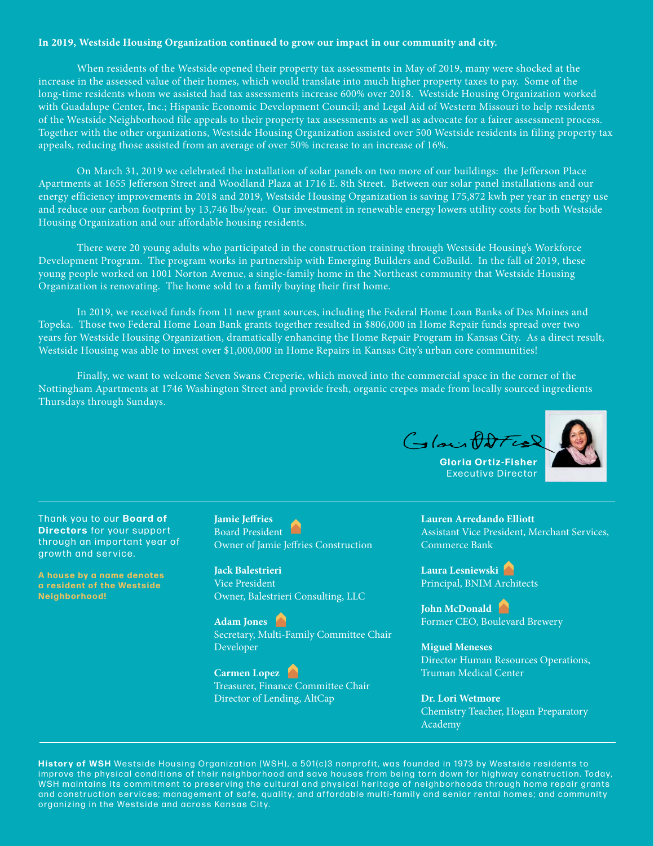#### **In 2019, Westside Housing Organization continued to grow our impact in our community and city.**

When residents of the Westside opened their property tax assessments in May of 2019, many were shocked at the increase in the assessed value of their homes, which would translate into much higher property taxes to pay. Some of the long-time residents whom we assisted had tax assessments increase 600% over 2018. Westside Housing Organization worked with Guadalupe Center, Inc.; Hispanic Economic Development Council; and Legal Aid of Western Missouri to help residents of the Westside Neighborhood file appeals to their property tax assessments as well as advocate for a fairer assessment process. Together with the other organizations, Westside Housing Organization assisted over 500 Westside residents in filing property tax appeals, reducing those assisted from an average of over 50% increase to an increase of 16%.

On March 31, 2019 we celebrated the installation of solar panels on two more of our buildings: the Jefferson Place Apartments at 1655 Jefferson Street and Woodland Plaza at 1716 E. 8th Street. Between our solar panel installations and our energy efficiency improvements in 2018 and 2019, Westside Housing Organization is saving 175,872 kwh per year in energy use and reduce our carbon footprint by 13,746 lbs/year. Our investment in renewable energy lowers utility costs for both Westside Housing Organization and our affordable housing residents.

There were 20 young adults who participated in the construction training through Westside Housing's Workforce Development Program. The program works in partnership with Emerging Builders and CoBuild. In the fall of 2019, these young people worked on 1001 Norton Avenue, a single-family home in the Northeast community that Westside Housing Organization is renovating. The home sold to a family buying their first home.

In 2019, we received funds from 11 new grant sources, including the Federal Home Loan Banks of Des Moines and Topeka. Those two Federal Home Loan Bank grants together resulted in \$806,000 in Home Repair funds spread over two years for Westside Housing Organization, dramatically enhancing the Home Repair Program in Kansas City. As a direct result, Westside Housing was able to invest over \$1,000,000 in Home Repairs in Kansas City's urban core communities!

Finally, we want to welcome Seven Swans Creperie, which moved into the commercial space in the corner of the Nottingham Apartments at 1746 Washington Street and provide fresh, organic crepes made from locally sourced ingredients Thursdays through Sundays.





**Gloria Ortiz-Fisher** Executive Director

Thank you to our **Board of Directors** for your support through an important year of growth and service.

A house by a name denotes **a resident of the Westside**  $Neighbourhood!$ 

**Jamie Jeffries**  Board President Owner of Jamie Jeffries Construction

**Jack Balestrieri** Vice President Owner, Balestrieri Consulting, LLC

**Adam Jones**  Secretary, Multi-Family Committee Chair Developer

**Carmen Lopez**  Treasurer, Finance Committee Chair Director of Lending, AltCap

**Lauren Arredando Elliott** Assistant Vice President, Merchant Services, Commerce Bank

**Laura Lesniewski**  Principal, BNIM Architects

**John McDonald**  Former CEO, Boulevard Brewery

**Miguel Meneses** Director Human Resources Operations, Truman Medical Center

**Dr. Lori Wetmore** Chemistry Teacher, Hogan Preparatory Academy

History of WSH Westside Housing Organization (WSH), a 501(c)3 nonprofit, was founded in 1973 by Westside residents to improve the physical conditions of their neighborhood and save houses from being torn down for highway construction. Today, WSH maintains its commitment to preserving the cultural and physical heritage of neighborhoods through home repair grants and construction services; management of safe, quality, and affordable multi-family and senior rental homes; and community organizing in the Westside and across Kansas City.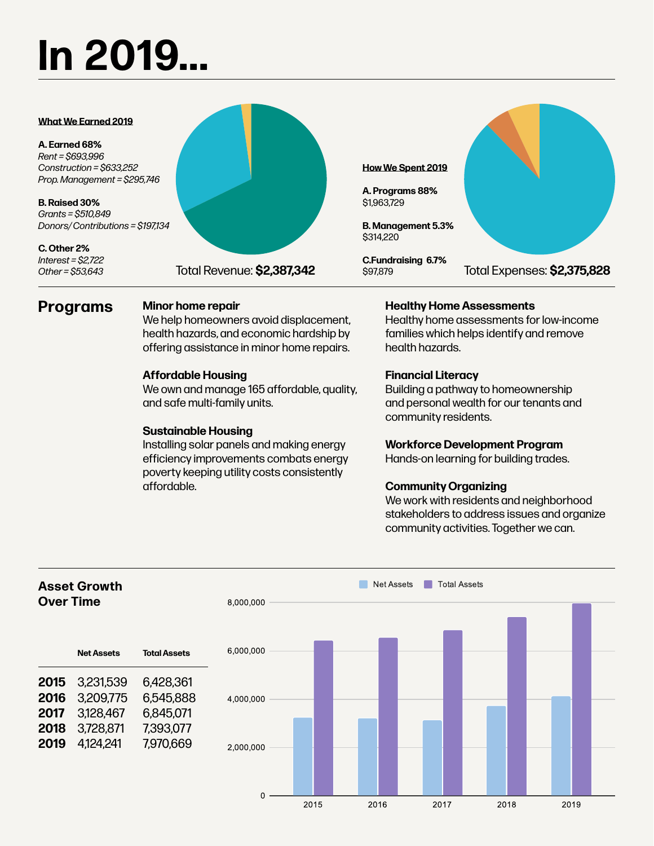# **In 2019...**

#### **What We Earned 2019**

**A. Earned 68%** *Rent = \$693,996 Construction = \$633,252 Prop. Management = \$295,746*

**B. Raised 30%** *Grants = \$510,849 Donors/ Contributions = \$197,134*

**C. Other 2%** *Interest = \$2,722 Other = \$53,643*



#### **Programs Minor home repair**

We help homeowners avoid displacement, health hazards, and economic hardship by offering assistance in minor home repairs.

#### **Affordable Housing**

We own and manage 165 affordable, quality, and safe multi-family units.

#### **Sustainable Housing**

Installing solar panels and making energy efficiency improvements combats energy poverty keeping utility costs consistently affordable.

#### **Healthy Home Assessments**

Healthy home assessments for low-income families which helps identify and remove health hazards.

#### **Financial Literacy**

**How We Spent 2019**

**B. Management 5.3%**

**C.Fundraising 6.7%**

**A. Programs 88%** \$1,963,729

\$314,220

\$97,879

Building a pathway to homeownership and personal wealth for our tenants and community residents.

#### **Workforce Development Program**

Hands-on learning for building trades.

### **Community Organizing**

We work with residents and neighborhood stakeholders to address issues and organize community activities. Together we can.